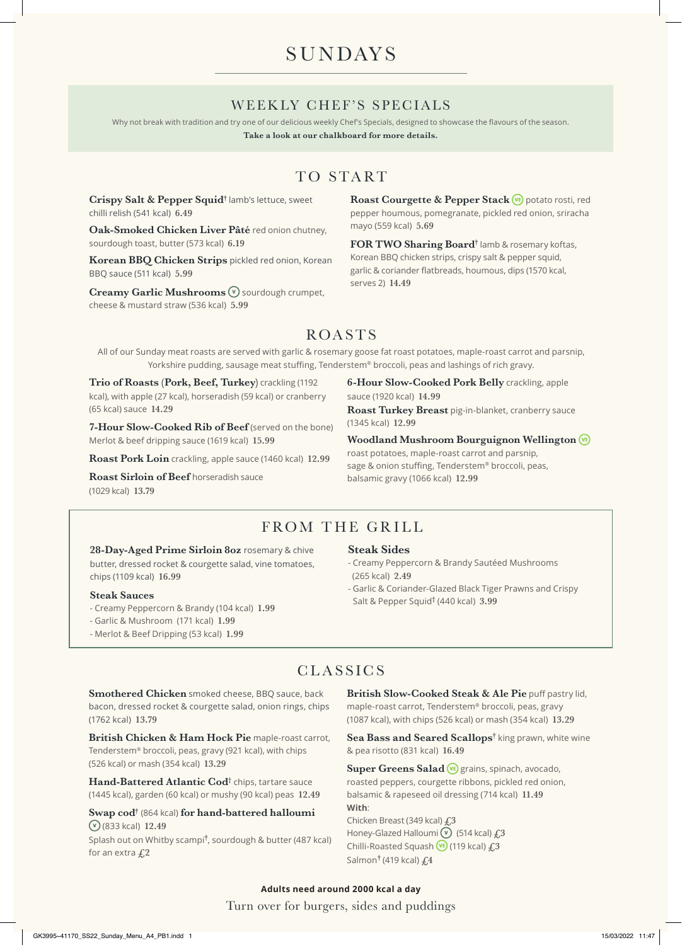# **SUNDAYS**

### WEEKLY CHEF'S SPECIALS

Why not break with tradition and try one of our delicious weekly Chef's Specials, designed to showcase the flavours of the season.

**Take a look at our chalkboard for more details.**

# TO START

**Crispy Salt & Pepper Squid†** lamb's lettuce, sweet chilli relish (541 kcal) **6.49**

**Oak-Smoked Chicken Liver Pâté** red onion chutney, sourdough toast, butter (573 kcal) **6.19**

**Korean BBQ Chicken Strips** pickled red onion, Korean BBQ sauce (511 kcal) **5.99**

**Creamy Garlic Mushrooms**  $\mathbf{\nabla}$  sourdough crumpet, cheese & mustard straw (536 kcal) **5.99**

Roast Courgette & Pepper Stack **VE** potato rosti, red pepper houmous, pomegranate, pickled red onion, sriracha mayo (559 kcal) **5.69**

**FOR TWO Sharing Board†** lamb & rosemary koftas, Korean BBQ chicken strips, crispy salt & pepper squid, garlic & coriander flatbreads, houmous, dips (1570 kcal, serves 2) **14.49**

## ROASTS

All of our Sunday meat roasts are served with garlic & rosemary goose fat roast potatoes, maple-roast carrot and parsnip, Yorkshire pudding, sausage meat stuffing, Tenderstem® broccoli, peas and lashings of rich gravy.

**Trio of Roasts (Pork, Beef, Turkey)** crackling (1192 kcal), with apple (27 kcal), horseradish (59 kcal) or cranberry (65 kcal) sauce **14.29** 

**7-Hour Slow-Cooked Rib of Beef** (served on the bone) Merlot & beef dripping sauce (1619 kcal) **15.99**

**Roast Pork Loin** crackling, apple sauce (1460 kcal) **12.99**

**Roast Sirloin of Beef** horseradish sauce (1029 kcal) **13.79**

**6-Hour Slow-Cooked Pork Belly** crackling, apple sauce (1920 kcal) **14.99**

**Roast Turkey Breast** pig-in-blanket, cranberry sauce (1345 kcal) **12.99**

**Woodland Mushroom Bourguignon Wellington**  roast potatoes, maple-roast carrot and parsnip,

sage & onion stuffing, Tenderstem® broccoli, peas, balsamic gravy (1066 kcal) **12.99**

## FROM THE GRILL

28-Day-Aged Prime Sirloin 8oz rosemary & chive butter, dressed rocket & courgette salad, vine tomatoes, chips (1109 kcal) **16.99**

#### **Steak Sauces**

- Creamy Peppercorn & Brandy (104 kcal) **1.99**
- Garlic & Mushroom (171 kcal) **1.99**
- Merlot & Beef Dripping (53 kcal) **1.99**

#### **Steak Sides**

- Creamy Peppercorn & Brandy Sautéed Mushrooms (265 kcal) **2.49**
- Garlic & Coriander-Glazed Black Tiger Prawns and Crispy Salt & Pepper Squid† (440 kcal) **3.99**

### **CLASSICS**

**Smothered Chicken** smoked cheese, BBQ sauce, back bacon, dressed rocket & courgette salad, onion rings, chips (1762 kcal) **13.79**

**British Chicken & Ham Hock Pie** maple-roast carrot, Tenderstem® broccoli, peas, gravy (921 kcal), with chips (526 kcal) or mash (354 kcal) **13.29**

Hand-Battered Atlantic Cod<sup>†</sup> chips, tartare sauce (1445 kcal), garden (60 kcal) or mushy (90 kcal) peas **12.49**

**Swap cod†** (864 kcal) **for hand-battered halloumi**  (833 kcal) **12.49**

Splash out on Whitby scampi**†** , sourdough & butter (487 kcal) for an extra **£2**

**British Slow-Cooked Steak & Ale Pie** puff pastry lid, maple-roast carrot, Tenderstem® broccoli, peas, gravy (1087 kcal), with chips (526 kcal) or mash (354 kcal) **13.29**

Sea Bass and Seared Scallops<sup>†</sup> king prawn, white wine & pea risotto (831 kcal) **16.49**

Super Greens Salad<sup>(vE)</sup> grains, spinach, avocado, roasted peppers, courgette ribbons, pickled red onion, balsamic & rapeseed oil dressing (714 kcal) **11.49 With**: Chicken Breast (349 kcal) **£3**

Honey-Glazed Halloumi <sup>(v</sup>) (514 kcal)  $f<sub>1</sub>3$ Chilli-Roasted Squash (119 kcal) **£3** Salmon**†** (419 kcal) **£4**

#### Turn over for burgers, sides and puddings **Adults need around 2000 kcal a day**